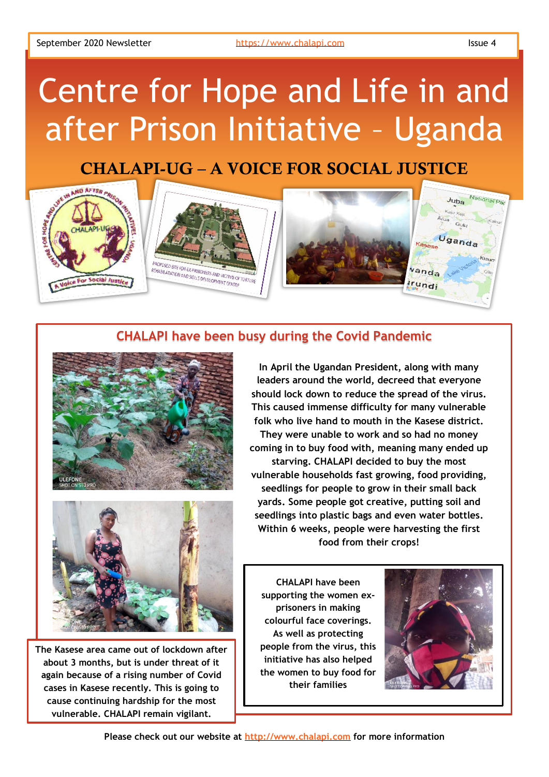# Centre for Hope and Life in and after Prison Initiative – Uganda

# CHALAPI-UG – A VOICE FOR SOCIAL JUSTICE



## **CHALAPI have been busy during the Covid Pandemic**





**The Kasese area came out of lockdown after about 3 months, but is under threat of it again because of a rising number of Covid cases in Kasese recently. This is going to cause continuing hardship for the most vulnerable. CHALAPI remain vigilant.**

**In April the Ugandan President, along with many leaders around the world, decreed that everyone should lock down to reduce the spread of the virus. This caused immense difficulty for many vulnerable folk who live hand to mouth in the Kasese district. They were unable to work and so had no money coming in to buy food with, meaning many ended up starving. CHALAPI decided to buy the most vulnerable households fast growing, food providing, seedlings for people to grow in their small back yards. Some people got creative, putting soil and seedlings into plastic bags and even water bottles. Within 6 weeks, people were harvesting the first food from their crops!**

**CHALAPI have been supporting the women exprisoners in making colourful face coverings. As well as protecting people from the virus, this initiative has also helped the women to buy food for their families**